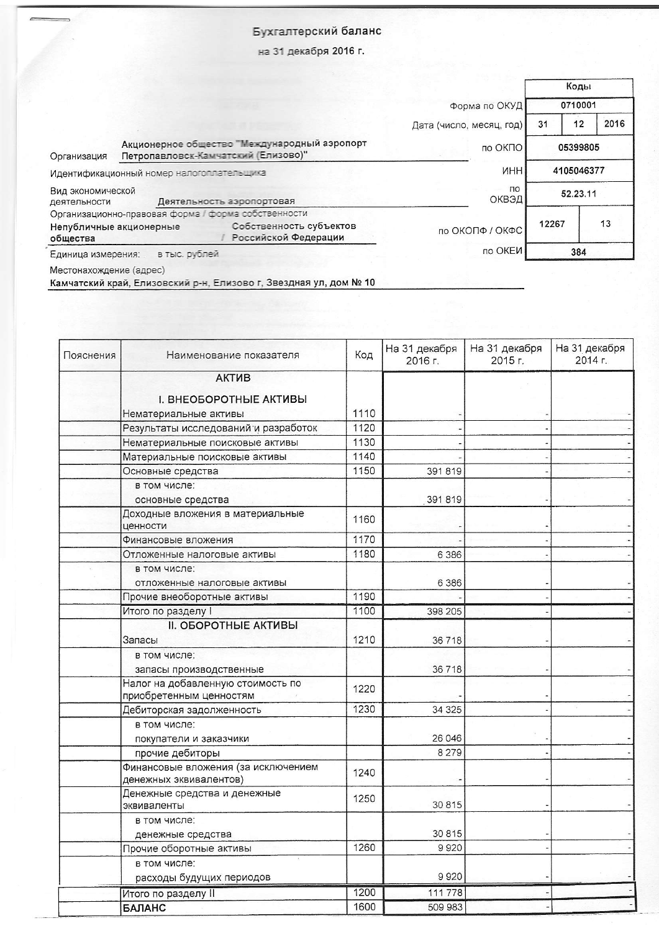## Бухгалтерский баланс

на 31 декабря 2016 г.

|                                                                                                    |                                                                                                                                   |                                | Коды<br>0710001 |      |
|----------------------------------------------------------------------------------------------------|-----------------------------------------------------------------------------------------------------------------------------------|--------------------------------|-----------------|------|
|                                                                                                    |                                                                                                                                   | Форма по ОКУД                  |                 |      |
|                                                                                                    |                                                                                                                                   | Дата (число, месяц, год)       | 12<br>31        | 2016 |
| Акционерное общество "Международный аэропорт<br>Петропавловск-Камчатский (Елизово)"<br>Организация |                                                                                                                                   | по ОКПО                        | 05399805        |      |
| Идентификационный номер налогоплательщика                                                          |                                                                                                                                   | <b>MHH</b>                     | 4105046377      |      |
| Вид экономической<br>Деятельность аэропортовая<br>деятельности                                     |                                                                                                                                   | <b>no</b><br>52.23.11<br>ОКВЭД |                 |      |
| общества                                                                                           | Организационно-правовая форма / форма собственности<br>Собственность субъектов<br>Непубличные акционерные<br>Российской Федерации | по ОКОПФ / ОКФС                | 12267           | 13   |
| в тыс. рублей<br>Единица измерения:                                                                |                                                                                                                                   | по ОКЕИ                        | 384             |      |
| Местонахождение (адрес)                                                                            |                                                                                                                                   |                                |                 |      |

Камчатский край, Елизовский р-н, Елизово г, Звездная ул, дом № 10

| Пояснения | Наименование показателя                                       | Код  | На 31 декабря<br>2016 г. | На 31 декабря<br>2015 r. | На 31 декабря<br>2014 г. |
|-----------|---------------------------------------------------------------|------|--------------------------|--------------------------|--------------------------|
|           | АКТИВ                                                         |      |                          |                          |                          |
|           | <b>I. ВНЕОБОРОТНЫЕ АКТИВЫ</b>                                 |      |                          |                          |                          |
|           | Нематериальные активы                                         | 1110 |                          |                          |                          |
|           | Результаты исследований и разработок                          | 1120 |                          |                          |                          |
|           | Нематериальные поисковые активы                               | 1130 |                          |                          |                          |
|           | Материальные поисковые активы                                 | 1140 |                          |                          |                          |
|           | Основные средства                                             | 1150 | 391819                   |                          |                          |
|           | в том числе:<br>основные средства                             |      | 391819                   |                          |                          |
|           | Доходные вложения в материальные<br>ценности                  | 1160 |                          |                          |                          |
|           | Финансовые вложения                                           | 1170 |                          |                          |                          |
|           | Отложенные налоговые активы                                   | 1180 | 6 3 8 6                  |                          |                          |
|           | в том числе:                                                  |      |                          |                          |                          |
|           | отложенные налоговые активы                                   |      | 6 3 8 6                  |                          |                          |
|           | Прочие внеоборотные активы                                    | 1190 |                          |                          |                          |
|           | Итого по разделу І                                            | 1100 | 398 205                  |                          |                          |
|           | <b>II. ОБОРОТНЫЕ АКТИВЫ</b><br>Запасы                         | 1210 | 36718                    |                          |                          |
|           | в том числе:<br>запасы производственные                       |      | 36718                    |                          |                          |
|           | Налог на добавленную стоимость по<br>приобретенным ценностям  | 1220 |                          |                          |                          |
|           | Дебиторская задолженность                                     | 1230 | 34 325                   |                          |                          |
|           | в том числе:                                                  |      | 26 046                   |                          |                          |
|           | покупатели и заказчики                                        |      |                          |                          |                          |
|           | прочие дебиторы                                               |      | 8 2 7 9                  |                          |                          |
|           | Финансовые вложения (за исключением<br>денежных эквивалентов) | 1240 |                          |                          |                          |
|           | Денежные средства и денежные<br>эквиваленты                   | 1250 | 30 815                   |                          |                          |
|           | в том числе:                                                  |      | 30 815                   |                          |                          |
|           | денежные средства                                             | 1260 | 9920                     |                          |                          |
|           | Прочие оборотные активы                                       |      |                          |                          |                          |
|           | в том числе:<br>расходы будущих периодов                      |      | 9920                     |                          |                          |
|           | Итого по разделу II                                           | 1200 | 111778                   |                          |                          |
|           | <b>БАЛАНС</b>                                                 | 1600 | 509 983                  |                          |                          |